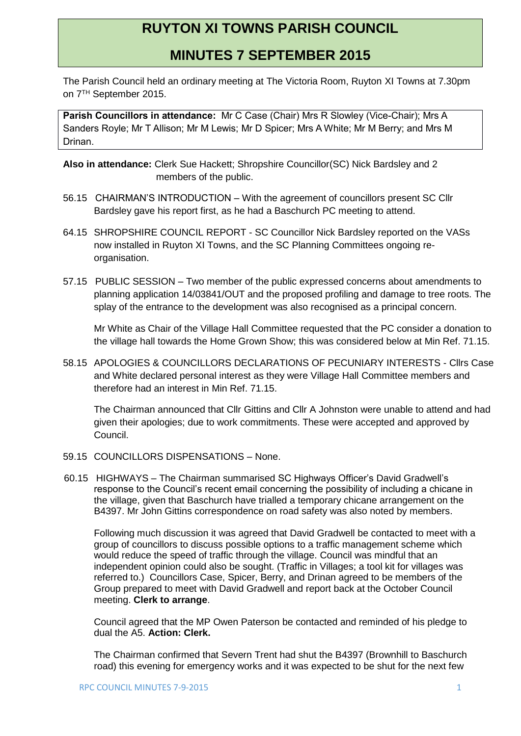## **RUYTON XI TOWNS PARISH COUNCIL**

## **MINUTES 7 SEPTEMBER 2015**

The Parish Council held an ordinary meeting at The Victoria Room, Ruyton XI Towns at 7.30pm on 7TH September 2015.

**Parish Councillors in attendance:** Mr C Case (Chair) Mrs R Slowley (Vice-Chair); Mrs A Sanders Royle; Mr T Allison; Mr M Lewis; Mr D Spicer; Mrs A White; Mr M Berry; and Mrs M Drinan.

**Also in attendance:** Clerk Sue Hackett; Shropshire Councillor(SC) Nick Bardsley and 2 members of the public.

- 56.15 CHAIRMAN'S INTRODUCTION With the agreement of councillors present SC Cllr Bardsley gave his report first, as he had a Baschurch PC meeting to attend.
- 64.15 SHROPSHIRE COUNCIL REPORT SC Councillor Nick Bardsley reported on the VASs now installed in Ruyton XI Towns, and the SC Planning Committees ongoing reorganisation.
- 57.15 PUBLIC SESSION Two member of the public expressed concerns about amendments to planning application 14/03841/OUT and the proposed profiling and damage to tree roots. The splay of the entrance to the development was also recognised as a principal concern.

Mr White as Chair of the Village Hall Committee requested that the PC consider a donation to the village hall towards the Home Grown Show; this was considered below at Min Ref. 71.15.

58.15 APOLOGIES & COUNCILLORS DECLARATIONS OF PECUNIARY INTERESTS - Cllrs Case and White declared personal interest as they were Village Hall Committee members and therefore had an interest in Min Ref. 71.15.

The Chairman announced that Cllr Gittins and Cllr A Johnston were unable to attend and had given their apologies; due to work commitments. These were accepted and approved by Council.

- 59.15 COUNCILLORS DISPENSATIONS None.
- 60.15 HIGHWAYS The Chairman summarised SC Highways Officer's David Gradwell's response to the Council's recent email concerning the possibility of including a chicane in the village, given that Baschurch have trialled a temporary chicane arrangement on the B4397. Mr John Gittins correspondence on road safety was also noted by members.

Following much discussion it was agreed that David Gradwell be contacted to meet with a group of councillors to discuss possible options to a traffic management scheme which would reduce the speed of traffic through the village. Council was mindful that an independent opinion could also be sought. (Traffic in Villages; a tool kit for villages was referred to.) Councillors Case, Spicer, Berry, and Drinan agreed to be members of the Group prepared to meet with David Gradwell and report back at the October Council meeting. **Clerk to arrange**.

Council agreed that the MP Owen Paterson be contacted and reminded of his pledge to dual the A5. **Action: Clerk.**

The Chairman confirmed that Severn Trent had shut the B4397 (Brownhill to Baschurch road) this evening for emergency works and it was expected to be shut for the next few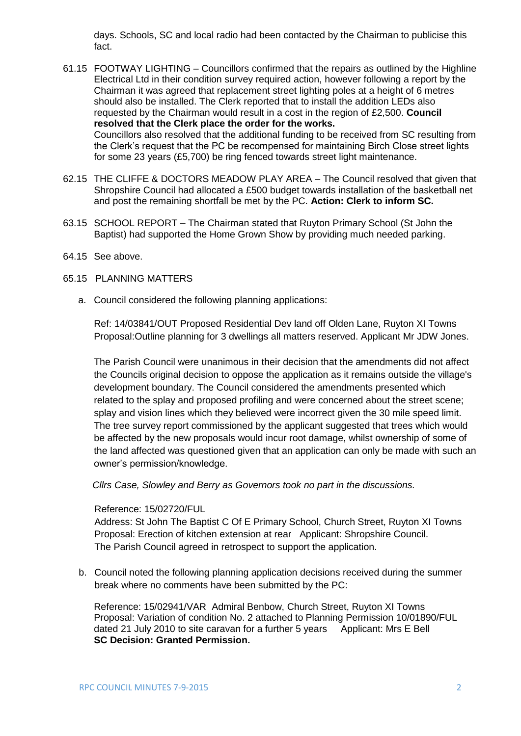days. Schools, SC and local radio had been contacted by the Chairman to publicise this fact.

- 61.15 FOOTWAY LIGHTING Councillors confirmed that the repairs as outlined by the Highline Electrical Ltd in their condition survey required action, however following a report by the Chairman it was agreed that replacement street lighting poles at a height of 6 metres should also be installed. The Clerk reported that to install the addition LEDs also requested by the Chairman would result in a cost in the region of £2,500. **Council resolved that the Clerk place the order for the works.** Councillors also resolved that the additional funding to be received from SC resulting from the Clerk's request that the PC be recompensed for maintaining Birch Close street lights for some 23 years (£5,700) be ring fenced towards street light maintenance.
- 62.15 THE CLIFFE & DOCTORS MEADOW PLAY AREA The Council resolved that given that Shropshire Council had allocated a £500 budget towards installation of the basketball net and post the remaining shortfall be met by the PC. **Action: Clerk to inform SC.**
- 63.15 SCHOOL REPORT The Chairman stated that Ruyton Primary School (St John the Baptist) had supported the Home Grown Show by providing much needed parking.
- 64.15 See above.
- 65.15 PLANNING MATTERS
	- a. Council considered the following planning applications:

Ref: 14/03841/OUT Proposed Residential Dev land off Olden Lane, Ruyton XI Towns Proposal:Outline planning for 3 dwellings all matters reserved. Applicant Mr JDW Jones.

The Parish Council were unanimous in their decision that the amendments did not affect the Councils original decision to oppose the application as it remains outside the village's development boundary. The Council considered the amendments presented which related to the splay and proposed profiling and were concerned about the street scene; splay and vision lines which they believed were incorrect given the 30 mile speed limit. The tree survey report commissioned by the applicant suggested that trees which would be affected by the new proposals would incur root damage, whilst ownership of some of the land affected was questioned given that an application can only be made with such an owner's permission/knowledge.

 *Cllrs Case, Slowley and Berry as Governors took no part in the discussions.*

## Reference: 15/02720/FUL

Address: St John The Baptist C Of E Primary School, Church Street, Ruyton XI Towns Proposal: Erection of kitchen extension at rear Applicant: Shropshire Council. The Parish Council agreed in retrospect to support the application.

b. Council noted the following planning application decisions received during the summer break where no comments have been submitted by the PC:

Reference: 15/02941/VAR Admiral Benbow, Church Street, Ruyton XI Towns Proposal: Variation of condition No. 2 attached to Planning Permission 10/01890/FUL dated 21 July 2010 to site caravan for a further 5 years Applicant: Mrs E Bell **SC Decision: Granted Permission.**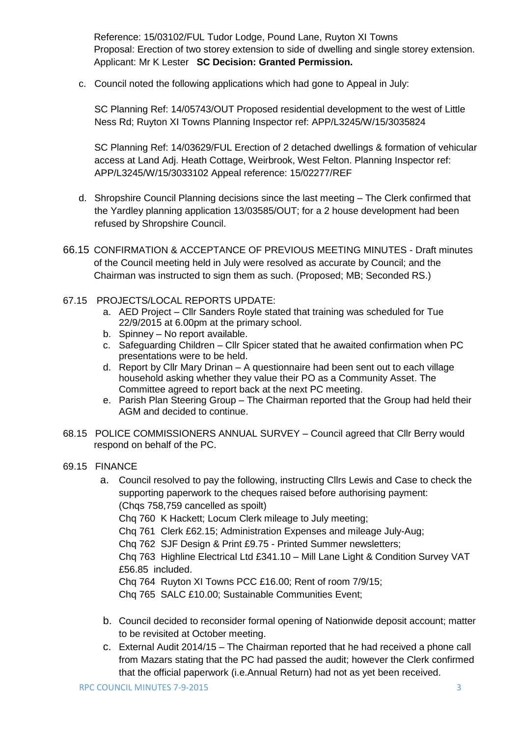Reference: 15/03102/FUL Tudor Lodge, Pound Lane, Ruyton XI Towns Proposal: Erection of two storey extension to side of dwelling and single storey extension. Applicant: Mr K Lester **SC Decision: Granted Permission.**

c. Council noted the following applications which had gone to Appeal in July:

SC Planning Ref: 14/05743/OUT Proposed residential development to the west of Little Ness Rd; Ruyton XI Towns Planning Inspector ref: APP/L3245/W/15/3035824

SC Planning Ref: 14/03629/FUL Erection of 2 detached dwellings & formation of vehicular access at Land Adj. Heath Cottage, Weirbrook, West Felton. Planning Inspector ref: APP/L3245/W/15/3033102 Appeal reference: 15/02277/REF

- d. Shropshire Council Planning decisions since the last meeting The Clerk confirmed that the Yardley planning application 13/03585/OUT; for a 2 house development had been refused by Shropshire Council.
- 66.15 CONFIRMATION & ACCEPTANCE OF PREVIOUS MEETING MINUTES Draft minutes of the Council meeting held in July were resolved as accurate by Council; and the Chairman was instructed to sign them as such. (Proposed; MB; Seconded RS.)
- 67.15 PROJECTS/LOCAL REPORTS UPDATE:
	- a. AED Project Cllr Sanders Royle stated that training was scheduled for Tue 22/9/2015 at 6.00pm at the primary school.
	- b. Spinney No report available.
	- c. Safeguarding Children Cllr Spicer stated that he awaited confirmation when PC presentations were to be held.
	- d. Report by Cllr Mary Drinan A questionnaire had been sent out to each village household asking whether they value their PO as a Community Asset. The Committee agreed to report back at the next PC meeting.
	- e. Parish Plan Steering Group The Chairman reported that the Group had held their AGM and decided to continue.
- 68.15 POLICE COMMISSIONERS ANNUAL SURVEY Council agreed that Cllr Berry would respond on behalf of the PC.
- 69.15 FINANCE
	- a. Council resolved to pay the following, instructing Cllrs Lewis and Case to check the supporting paperwork to the cheques raised before authorising payment: (Chqs 758,759 cancelled as spoilt)

Chq 760 K Hackett; Locum Clerk mileage to July meeting;

Chq 761 Clerk £62.15; Administration Expenses and mileage July-Aug;

Chq 762 SJF Design & Print £9.75 - Printed Summer newsletters;

Chq 763 Highline Electrical Ltd £341.10 – Mill Lane Light & Condition Survey VAT £56.85 included.

Chq 764 Ruyton XI Towns PCC £16.00; Rent of room 7/9/15;

Chq 765 SALC £10.00; Sustainable Communities Event;

- b. Council decided to reconsider formal opening of Nationwide deposit account; matter to be revisited at October meeting.
- c. External Audit 2014/15 The Chairman reported that he had received a phone call from Mazars stating that the PC had passed the audit; however the Clerk confirmed that the official paperwork (i.e.Annual Return) had not as yet been received.